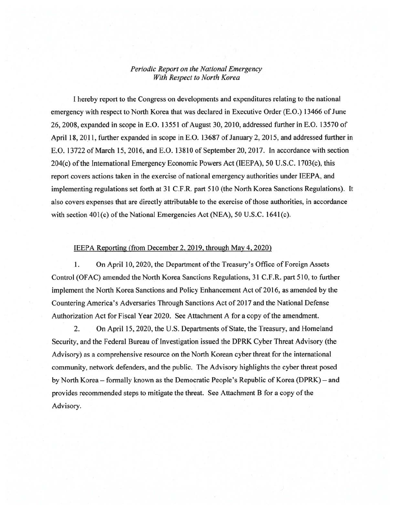## *Periodic Report on the National Emergency With Respect to North Korea*

I hereby report to the Congress on developments and expenditures relating to the national emergency with respect to North Korea that was declared in Executive Order (E.O.) 13466 of June 26,2008, expanded in scope in E.O. 13551 of August 30,2010, addressed further in E.O. 13570 of April 18, 2011, further expanded in scope in E.O. 13687 of January 2, 2015, and addressed further in E.O. 13722 of March 15, 2016, and E.O. 13810 of September 20, 2017. In accordance with section 204(c) of the International Emergency Economic Powers Act (IEEPA), 50 U.S.C. 1703(c), this report covers actions taken in the exercise of national emergency authorities under IEEPA, and implementing regulations set forth at 31 C.F .R. part 510 (the North Korea Sanctions Regulations). It also covers expenses that are directly attributable to the exercise of those authorities, in accordance with section  $401(c)$  of the National Emergencies Act (NEA), 50 U.S.C. 1641(c).

## IEEPA Reporting (from December 2, 2019, through May 4, 2020)

1. On April 10, 2020, the Department of the Treasury's Office of Foreign Assets Control (OFAC) amended the North Korea Sanctions Regulations, 31 C.F.R. part 510, to further implement the North Korea Sanctions and Policy Enhancement Act of 2016, as amended by the Countering America's Adversaries Through Sanctions Act of 2017 and the National Defense Authorization Act for Fiscal Year 2020. See Attachment A for a copy of the amendment.

2. On April 15,2020, the U.S. Departments of State, the Treasury, and Homeland Security, and the Federal Bureau of Investigation issued the DPRK Cyber Threat Advisory (the Advisory) as a comprehensive resource on the North Korean cyber threat for the international community, network defenders, and the public. The Advisory highlights the cyber threat posed by North Korea- formally known as the Democratic People's Republic of Korea (DPRK)- and provides recommended steps to mitigate the threat. See Attachment B for a copy of the Advisory.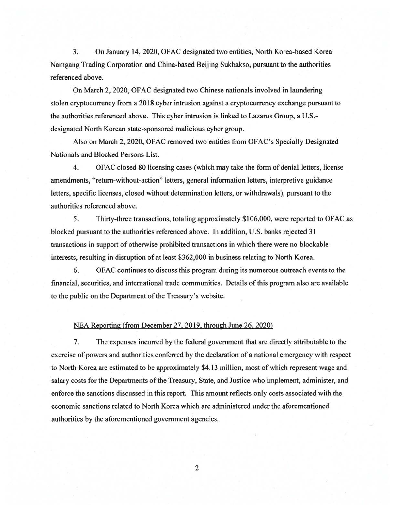3. On January 14,2020, OFAC designated two entities, North Korea-based Korea Namgang Trading Corporation and China-based Beijing Sukbakso, pursuant to the authorities referenced above.

On March 2, 2020, OF AC designated two Chinese nationals involved in laundering stolen cryptocurrency from a 2018 cyber intrusion against a cryptocurrency exchange pursuant to the authorities referenced above. This cyber intrusion is linked to Lazarus Group, a U.S. designated North Korean state-sponsored malicious cyber group.

Also on March 2, 2020, OF AC removed two entities from OF AC's Specially Designated Nationals and Blocked Persons List.

4. OF AC closed 80 licensing cases (which may take the form of denial letters, license amendments, "return-without-action" letters, general information letters, interpretive guidance letters, specific licenses, closed without determination letters, or withdrawals), pursuant to the authorities referenced above.

5. Thirty-three transactions, totaling approximately \$106,000, were reported to OFAC as blocked pursuant to the authorities referenced above. In addition, U.S. banks rejected 31 transactions in support of otherwise prohibited transactions in which there were no blockable interests, resulting in disruption of at least \$362,000 in business relating to North Korea.

6. OF AC continues to discuss this program during its numerous outreach events to the financial, securities, and international trade communities. Details of this program also are available to the public on the Department of the Treasury's website.

## NEA Reporting (from December 27.2019. through June 26. 2020)

7. The expenses incurred by the federal government that are directly attributable to the exercise of powers and authorities conferred by the declaration of a national emergency with respect to North Korea are estimated to be approximately \$4.13 million, most of which represent wage and salary costs for the Departments of the Treasury, State, and Justice who implement, administer, and enforce the sanctions discussed in this report. This amount reflects only costs associated with the economic sanctions related to North Korea which are administered under the aforementioned authorities by the aforementioned government agencies.

2